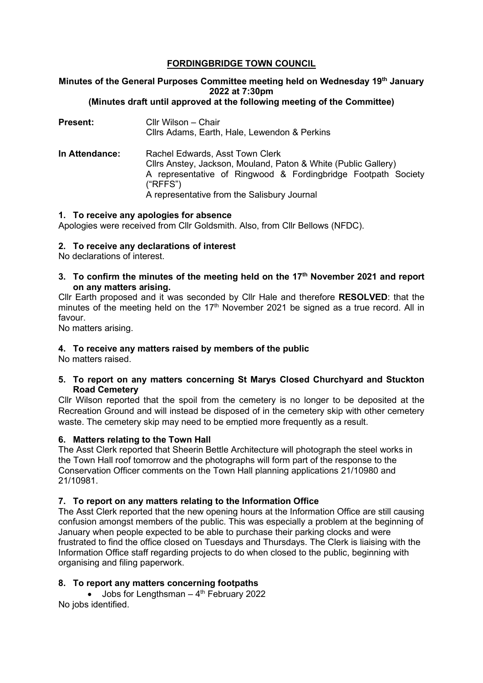# **FORDINGBRIDGE TOWN COUNCIL**

#### **Minutes of the General Purposes Committee meeting held on Wednesday 19th January 2022 at 7:30pm (Minutes draft until approved at the following meeting of the Committee)**

**Present:** Cllr Wilson – Chair Cllrs Adams, Earth, Hale, Lewendon & Perkins **In Attendance:** Rachel Edwards, Asst Town Clerk Cllrs Anstey, Jackson, Mouland, Paton & White (Public Gallery) A representative of Ringwood & Fordingbridge Footpath Society ("RFFS") A representative from the Salisbury Journal

### **1. To receive any apologies for absence**

Apologies were received from Cllr Goldsmith. Also, from Cllr Bellows (NFDC).

### **2. To receive any declarations of interest**

No declarations of interest.

**3. To confirm the minutes of the meeting held on the 17th November 2021 and report on any matters arising.**

Cllr Earth proposed and it was seconded by Cllr Hale and therefore **RESOLVED**: that the minutes of the meeting held on the  $17<sup>th</sup>$  November 2021 be signed as a true record. All in favour.

No matters arising.

# **4. To receive any matters raised by members of the public**

No matters raised.

**5. To report on any matters concerning St Marys Closed Churchyard and Stuckton Road Cemetery**

Cllr Wilson reported that the spoil from the cemetery is no longer to be deposited at the Recreation Ground and will instead be disposed of in the cemetery skip with other cemetery waste. The cemetery skip may need to be emptied more frequently as a result.

# **6. Matters relating to the Town Hall**

The Asst Clerk reported that Sheerin Bettle Architecture will photograph the steel works in the Town Hall roof tomorrow and the photographs will form part of the response to the Conservation Officer comments on the Town Hall planning applications 21/10980 and 21/10981.

# **7. To report on any matters relating to the Information Office**

The Asst Clerk reported that the new opening hours at the Information Office are still causing confusion amongst members of the public. This was especially a problem at the beginning of January when people expected to be able to purchase their parking clocks and were frustrated to find the office closed on Tuesdays and Thursdays. The Clerk is liaising with the Information Office staff regarding projects to do when closed to the public, beginning with organising and filing paperwork.

# **8. To report any matters concerning footpaths**

• Jobs for Lengthsman –  $4<sup>th</sup>$  February 2022 No jobs identified.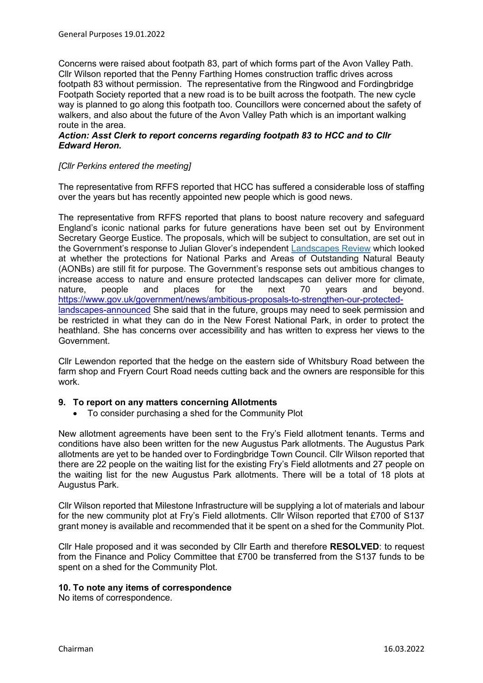Concerns were raised about footpath 83, part of which forms part of the Avon Valley Path. Cllr Wilson reported that the Penny Farthing Homes construction traffic drives across footpath 83 without permission. The representative from the Ringwood and Fordingbridge Footpath Society reported that a new road is to be built across the footpath. The new cycle way is planned to go along this footpath too. Councillors were concerned about the safety of walkers, and also about the future of the Avon Valley Path which is an important walking route in the area.

## *Action: Asst Clerk to report concerns regarding footpath 83 to HCC and to Cllr Edward Heron.*

## *[Cllr Perkins entered the meeting]*

The representative from RFFS reported that HCC has suffered a considerable loss of staffing over the years but has recently appointed new people which is good news.

The representative from RFFS reported that plans to boost nature recovery and safeguard England's iconic national parks for future generations have been set out by Environment Secretary George Eustice. The proposals, which will be subject to consultation, are set out in the Government's response to Julian Glover's independent [Landscapes Review](https://www.gov.uk/government/publications/designated-landscapes-national-parks-and-aonbs-2018-review) which looked at whether the protections for National Parks and Areas of Outstanding Natural Beauty (AONBs) are still fit for purpose. The Government's response sets out ambitious changes to increase access to nature and ensure protected landscapes can deliver more for climate,<br>nature, people and places for the next 70 vears and bevond. nature, people and places for the next 70 years and beyond. [https://www.gov.uk/government/news/ambitious-proposals-to-strengthen-our-protected](https://www.gov.uk/government/news/ambitious-proposals-to-strengthen-our-protected-landscapes-announced)[landscapes-announced](https://www.gov.uk/government/news/ambitious-proposals-to-strengthen-our-protected-landscapes-announced) She said that in the future, groups may need to seek permission and be restricted in what they can do in the New Forest National Park, in order to protect the heathland. She has concerns over accessibility and has written to express her views to the Government.

Cllr Lewendon reported that the hedge on the eastern side of Whitsbury Road between the farm shop and Fryern Court Road needs cutting back and the owners are responsible for this work.

#### **9. To report on any matters concerning Allotments**

• To consider purchasing a shed for the Community Plot

New allotment agreements have been sent to the Fry's Field allotment tenants. Terms and conditions have also been written for the new Augustus Park allotments. The Augustus Park allotments are yet to be handed over to Fordingbridge Town Council. Cllr Wilson reported that there are 22 people on the waiting list for the existing Fry's Field allotments and 27 people on the waiting list for the new Augustus Park allotments. There will be a total of 18 plots at Augustus Park.

Cllr Wilson reported that Milestone Infrastructure will be supplying a lot of materials and labour for the new community plot at Fry's Field allotments. Cllr Wilson reported that £700 of S137 grant money is available and recommended that it be spent on a shed for the Community Plot.

Cllr Hale proposed and it was seconded by Cllr Earth and therefore **RESOLVED**: to request from the Finance and Policy Committee that £700 be transferred from the S137 funds to be spent on a shed for the Community Plot.

#### **10. To note any items of correspondence**

No items of correspondence.